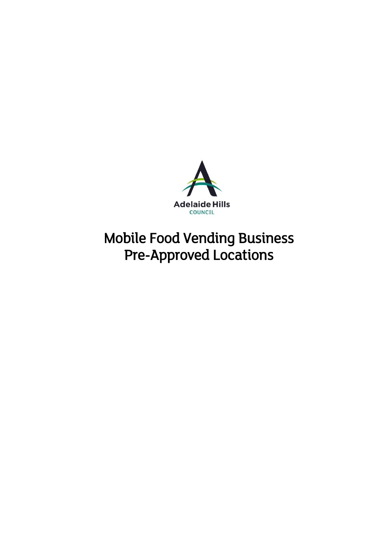

# Mobile Food Vending Business Pre-Approved Locations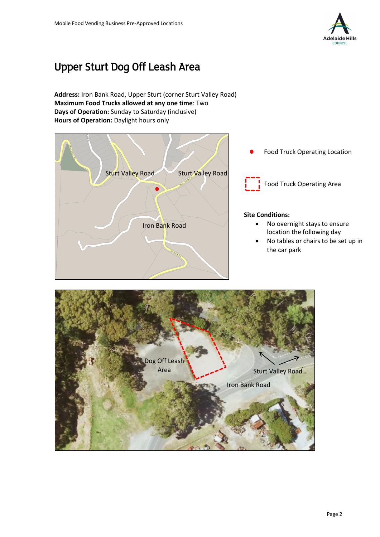

# Upper Sturt Dog Off Leash Area

**Address:** Iron Bank Road, Upper Sturt (corner Sturt Valley Road) **Maximum Food Trucks allowed at any one time**: Two **Days of Operation:** Sunday to Saturday (inclusive) **Hours of Operation:** Daylight hours only



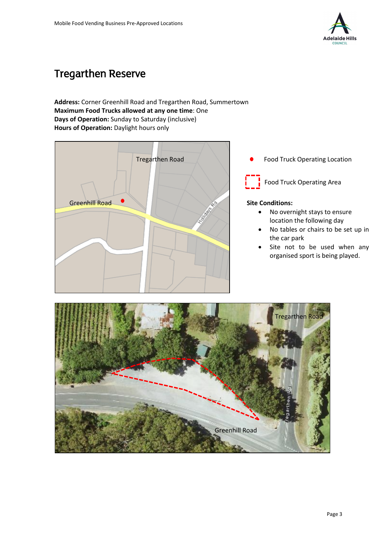

### Tregarthen Reserve

### **Address:** Corner Greenhill Road and Tregarthen Road, Summertown **Maximum Food Trucks allowed at any one time**: One **Days of Operation:** Sunday to Saturday (inclusive) **Hours of Operation:** Daylight hours only



Food Truck Operating Location

Food Truck Operating Area

- No overnight stays to ensure location the following day
- No tables or chairs to be set up in the car park
- Site not to be used when any organised sport is being played.

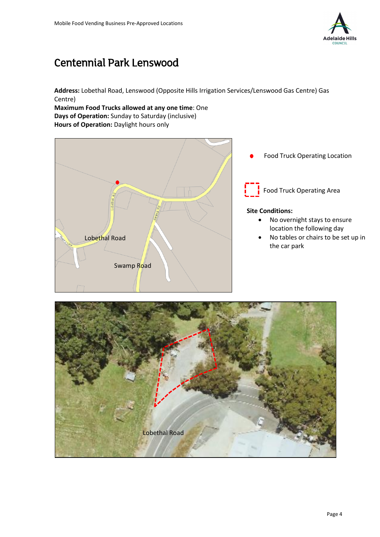

### Centennial Park Lenswood

**Address:** Lobethal Road, Lenswood (Opposite Hills Irrigation Services/Lenswood Gas Centre) Gas Centre)

**Maximum Food Trucks allowed at any one time**: One **Days of Operation:** Sunday to Saturday (inclusive) **Hours of Operation:** Daylight hours only



Food Truck Operating Location

Food Truck Operating Area

- No overnight stays to ensure location the following day
- No tables or chairs to be set up in the car park

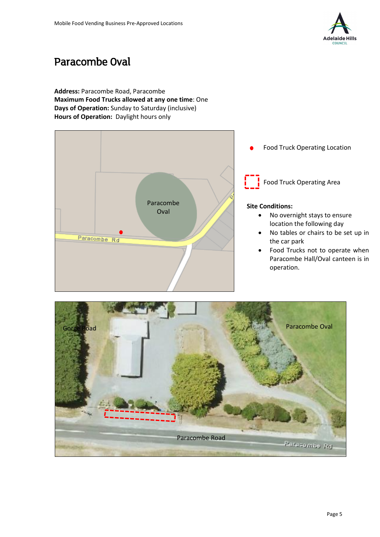

### Paracombe Oval

**Address:** Paracombe Road, Paracombe **Maximum Food Trucks allowed at any one time**: One **Days of Operation:** Sunday to Saturday (inclusive) **Hours of Operation:** Daylight hours only



Food Truck Operating Location

Food Truck Operating Area

- No overnight stays to ensure location the following day
- No tables or chairs to be set up in the car park
- Food Trucks not to operate when Paracombe Hall/Oval canteen is in operation.

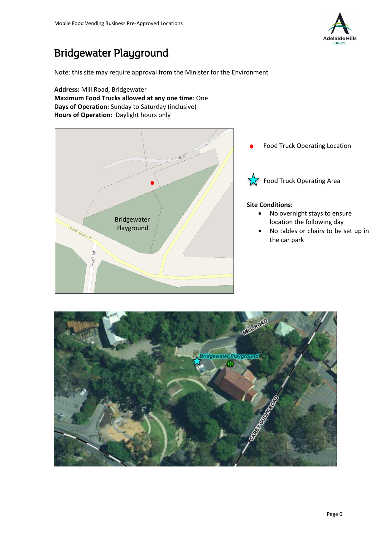

### Bridgewater Playground

Note: this site may require approval from the Minister for the Environment

**Address:** Mill Road, Bridgewater **Maximum Food Trucks allowed at any one time**: One **Days of Operation:** Sunday to Saturday (inclusive) **Hours of Operation:** Daylight hours only



Food Truck Operating Location

 $\sqrt{\phantom{a}}$  Food Truck Operating Area

- No overnight stays to ensure location the following day
- No tables or chairs to be set up in the car park

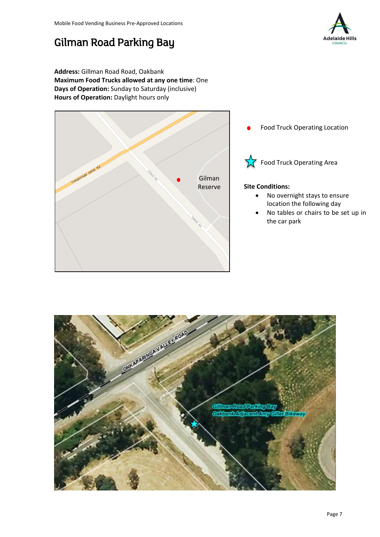# Gilman Road Parking Bay



**Address:** Gillman Road Road, Oakbank **Maximum Food Trucks allowed at any one time**: One **Days of Operation:** Sunday to Saturday (inclusive) **Hours of Operation:** Daylight hours only



Food Truck Operating Location



 $\sqrt{\phantom{a}}$  Food Truck Operating Area

- No overnight stays to ensure location the following day
- No tables or chairs to be set up in the car park

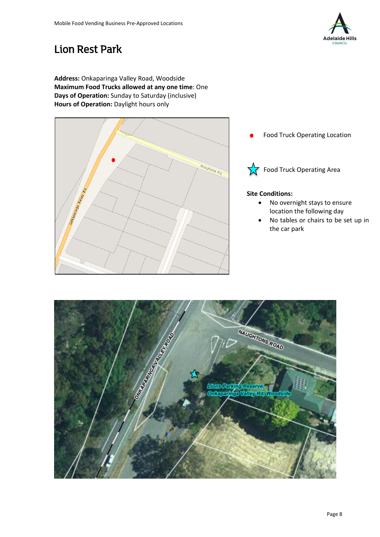

### Lion Rest Park

**Address:** Onkaparinga Valley Road, Woodside **Maximum Food Trucks allowed at any one time**: One **Days of Operation:** Sunday to Saturday (inclusive) **Hours of Operation:** Daylight hours only



Food Truck Operating Location



 $\sqrt{\phantom{a}}$  Food Truck Operating Area

- No overnight stays to ensure location the following day
- No tables or chairs to be set up in the car park